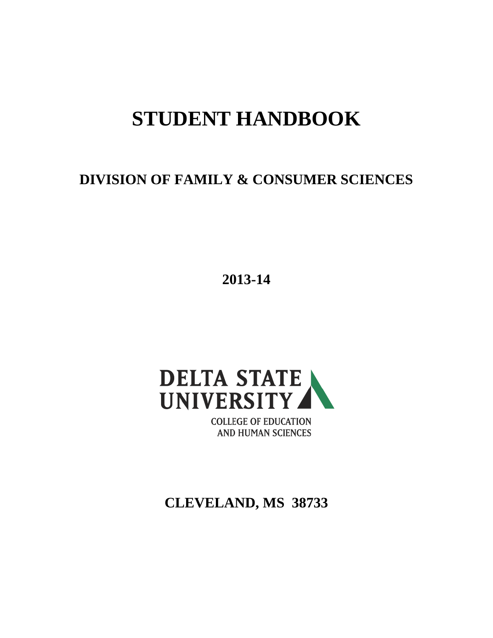# **STUDENT HANDBOOK**

**DIVISION OF FAMILY & CONSUMER SCIENCES**

**2013-14**



**COLLEGE OF EDUCATION AND HUMAN SCIENCES** 

**CLEVELAND, MS 38733**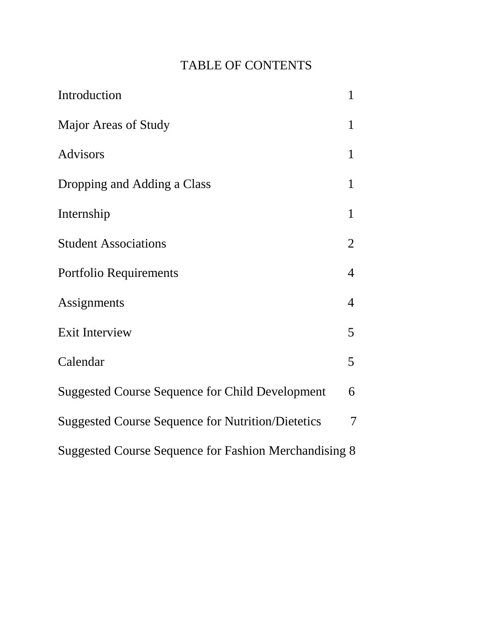# TABLE OF CONTENTS

| Introduction                                             | $\mathbf{1}$   |
|----------------------------------------------------------|----------------|
| Major Areas of Study                                     | $\mathbf{1}$   |
| <b>Advisors</b>                                          | $\mathbf{1}$   |
| Dropping and Adding a Class                              | 1              |
| Internship                                               | $\mathbf{1}$   |
| <b>Student Associations</b>                              | $\overline{2}$ |
| Portfolio Requirements                                   | 4              |
| Assignments                                              | $\overline{4}$ |
| <b>Exit Interview</b>                                    | 5              |
| Calendar                                                 | 5              |
| <b>Suggested Course Sequence for Child Development</b>   | 6              |
| <b>Suggested Course Sequence for Nutrition/Dietetics</b> | 7              |
| Suggested Course Sequence for Fashion Merchandising 8    |                |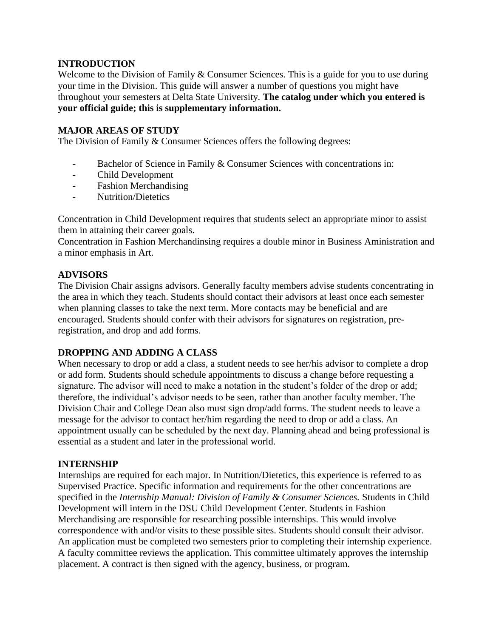# **INTRODUCTION**

Welcome to the Division of Family & Consumer Sciences. This is a guide for you to use during your time in the Division. This guide will answer a number of questions you might have throughout your semesters at Delta State University. **The catalog under which you entered is your official guide; this is supplementary information.**

### **MAJOR AREAS OF STUDY**

The Division of Family & Consumer Sciences offers the following degrees:

- Bachelor of Science in Family & Consumer Sciences with concentrations in:
- Child Development
- Fashion Merchandising
- Nutrition/Dietetics

Concentration in Child Development requires that students select an appropriate minor to assist them in attaining their career goals.

Concentration in Fashion Merchandinsing requires a double minor in Business Aministration and a minor emphasis in Art.

# **ADVISORS**

The Division Chair assigns advisors. Generally faculty members advise students concentrating in the area in which they teach. Students should contact their advisors at least once each semester when planning classes to take the next term. More contacts may be beneficial and are encouraged. Students should confer with their advisors for signatures on registration, preregistration, and drop and add forms.

#### **DROPPING AND ADDING A CLASS**

When necessary to drop or add a class, a student needs to see her/his advisor to complete a drop or add form. Students should schedule appointments to discuss a change before requesting a signature. The advisor will need to make a notation in the student's folder of the drop or add; therefore, the individual's advisor needs to be seen, rather than another faculty member. The Division Chair and College Dean also must sign drop/add forms. The student needs to leave a message for the advisor to contact her/him regarding the need to drop or add a class. An appointment usually can be scheduled by the next day. Planning ahead and being professional is essential as a student and later in the professional world.

#### **INTERNSHIP**

Internships are required for each major. In Nutrition/Dietetics, this experience is referred to as Supervised Practice. Specific information and requirements for the other concentrations are specified in the *Internship Manual: Division of Family & Consumer Sciences.* Students in Child Development will intern in the DSU Child Development Center. Students in Fashion Merchandising are responsible for researching possible internships. This would involve correspondence with and/or visits to these possible sites. Students should consult their advisor. An application must be completed two semesters prior to completing their internship experience. A faculty committee reviews the application. This committee ultimately approves the internship placement. A contract is then signed with the agency, business, or program.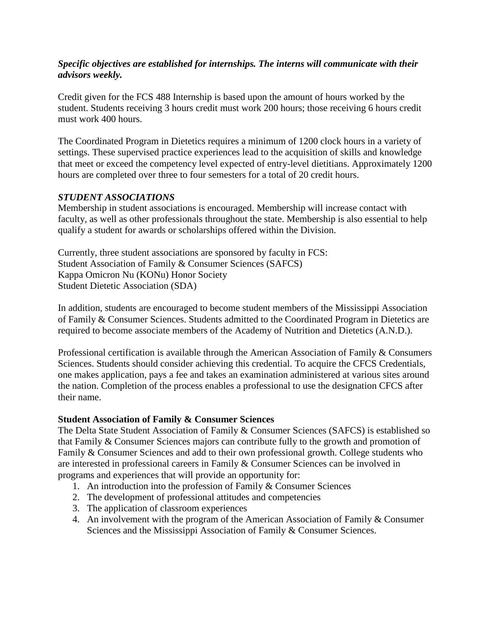# *Specific objectives are established for internships. The interns will communicate with their advisors weekly.*

Credit given for the FCS 488 Internship is based upon the amount of hours worked by the student. Students receiving 3 hours credit must work 200 hours; those receiving 6 hours credit must work 400 hours.

The Coordinated Program in Dietetics requires a minimum of 1200 clock hours in a variety of settings. These supervised practice experiences lead to the acquisition of skills and knowledge that meet or exceed the competency level expected of entry-level dietitians. Approximately 1200 hours are completed over three to four semesters for a total of 20 credit hours.

# *STUDENT ASSOCIATIONS*

Membership in student associations is encouraged. Membership will increase contact with faculty, as well as other professionals throughout the state. Membership is also essential to help qualify a student for awards or scholarships offered within the Division.

Currently, three student associations are sponsored by faculty in FCS: Student Association of Family & Consumer Sciences (SAFCS) Kappa Omicron Nu (KONu) Honor Society Student Dietetic Association (SDA)

In addition, students are encouraged to become student members of the Mississippi Association of Family & Consumer Sciences. Students admitted to the Coordinated Program in Dietetics are required to become associate members of the Academy of Nutrition and Dietetics (A.N.D.).

Professional certification is available through the American Association of Family & Consumers Sciences. Students should consider achieving this credential. To acquire the CFCS Credentials, one makes application, pays a fee and takes an examination administered at various sites around the nation. Completion of the process enables a professional to use the designation CFCS after their name.

#### **Student Association of Family & Consumer Sciences**

The Delta State Student Association of Family & Consumer Sciences (SAFCS) is established so that Family & Consumer Sciences majors can contribute fully to the growth and promotion of Family & Consumer Sciences and add to their own professional growth. College students who are interested in professional careers in Family & Consumer Sciences can be involved in programs and experiences that will provide an opportunity for:

- 1. An introduction into the profession of Family & Consumer Sciences
- 2. The development of professional attitudes and competencies
- 3. The application of classroom experiences
- 4. An involvement with the program of the American Association of Family & Consumer Sciences and the Mississippi Association of Family & Consumer Sciences.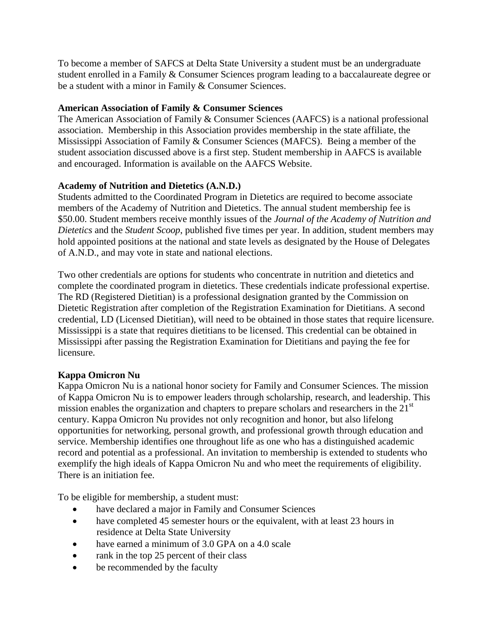To become a member of SAFCS at Delta State University a student must be an undergraduate student enrolled in a Family & Consumer Sciences program leading to a baccalaureate degree or be a student with a minor in Family & Consumer Sciences.

# **American Association of Family & Consumer Sciences**

The American Association of Family & Consumer Sciences (AAFCS) is a national professional association. Membership in this Association provides membership in the state affiliate, the Mississippi Association of Family & Consumer Sciences (MAFCS). Being a member of the student association discussed above is a first step. Student membership in AAFCS is available and encouraged. Information is available on the AAFCS Website.

# **Academy of Nutrition and Dietetics (A.N.D.)**

Students admitted to the Coordinated Program in Dietetics are required to become associate members of the Academy of Nutrition and Dietetics. The annual student membership fee is \$50.00. Student members receive monthly issues of the *Journal of the Academy of Nutrition and Dietetics* and the *Student Scoop*, published five times per year. In addition, student members may hold appointed positions at the national and state levels as designated by the House of Delegates of A.N.D., and may vote in state and national elections.

Two other credentials are options for students who concentrate in nutrition and dietetics and complete the coordinated program in dietetics. These credentials indicate professional expertise. The RD (Registered Dietitian) is a professional designation granted by the Commission on Dietetic Registration after completion of the Registration Examination for Dietitians. A second credential, LD (Licensed Dietitian), will need to be obtained in those states that require licensure. Mississippi is a state that requires dietitians to be licensed. This credential can be obtained in Mississippi after passing the Registration Examination for Dietitians and paying the fee for licensure.

# **Kappa Omicron Nu**

Kappa Omicron Nu is a national honor society for Family and Consumer Sciences. The mission of Kappa Omicron Nu is to empower leaders through scholarship, research, and leadership. This mission enables the organization and chapters to prepare scholars and researchers in the  $21<sup>st</sup>$ century. Kappa Omicron Nu provides not only recognition and honor, but also lifelong opportunities for networking, personal growth, and professional growth through education and service. Membership identifies one throughout life as one who has a distinguished academic record and potential as a professional. An invitation to membership is extended to students who exemplify the high ideals of Kappa Omicron Nu and who meet the requirements of eligibility. There is an initiation fee.

To be eligible for membership, a student must:

- have declared a major in Family and Consumer Sciences
- have completed 45 semester hours or the equivalent, with at least 23 hours in residence at Delta State University
- have earned a minimum of 3.0 GPA on a 4.0 scale
- rank in the top 25 percent of their class
- be recommended by the faculty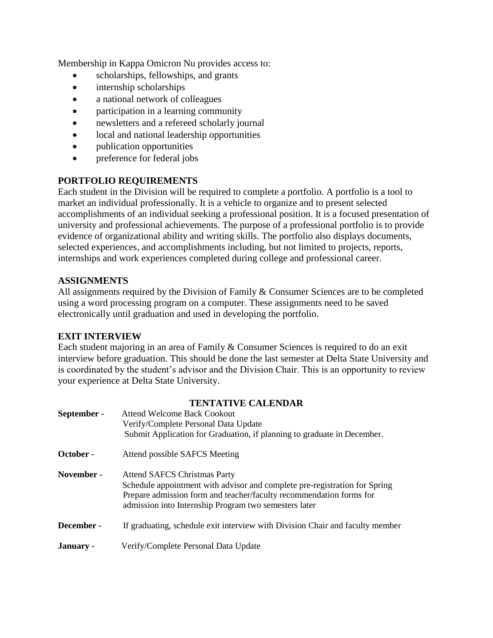Membership in Kappa Omicron Nu provides access to:

- scholarships, fellowships, and grants
- internship scholarships
- a national network of colleagues
- participation in a learning community
- newsletters and a refereed scholarly journal
- local and national leadership opportunities
- publication opportunities
- preference for federal jobs

# **PORTFOLIO REQUIREMENTS**

Each student in the Division will be required to complete a portfolio. A portfolio is a tool to market an individual professionally. It is a vehicle to organize and to present selected accomplishments of an individual seeking a professional position. It is a focused presentation of university and professional achievements. The purpose of a professional portfolio is to provide evidence of organizational ability and writing skills. The portfolio also displays documents, selected experiences, and accomplishments including, but not limited to projects, reports, internships and work experiences completed during college and professional career.

#### **ASSIGNMENTS**

All assignments required by the Division of Family & Consumer Sciences are to be completed using a word processing program on a computer. These assignments need to be saved electronically until graduation and used in developing the portfolio.

#### **EXIT INTERVIEW**

Each student majoring in an area of Family & Consumer Sciences is required to do an exit interview before graduation. This should be done the last semester at Delta State University and is coordinated by the student's advisor and the Division Chair. This is an opportunity to review your experience at Delta State University.

| <b>TENTATIVE CALENDAR</b>                                                     |  |  |  |  |  |
|-------------------------------------------------------------------------------|--|--|--|--|--|
| <b>Attend Welcome Back Cookout</b>                                            |  |  |  |  |  |
| Verify/Complete Personal Data Update                                          |  |  |  |  |  |
| Submit Application for Graduation, if planning to graduate in December.       |  |  |  |  |  |
| Attend possible SAFCS Meeting                                                 |  |  |  |  |  |
| <b>Attend SAFCS Christmas Party</b>                                           |  |  |  |  |  |
| Schedule appointment with advisor and complete pre-registration for Spring    |  |  |  |  |  |
| Prepare admission form and teacher/faculty recommendation forms for           |  |  |  |  |  |
| admission into Internship Program two semesters later                         |  |  |  |  |  |
| If graduating, schedule exit interview with Division Chair and faculty member |  |  |  |  |  |
| Verify/Complete Personal Data Update                                          |  |  |  |  |  |
|                                                                               |  |  |  |  |  |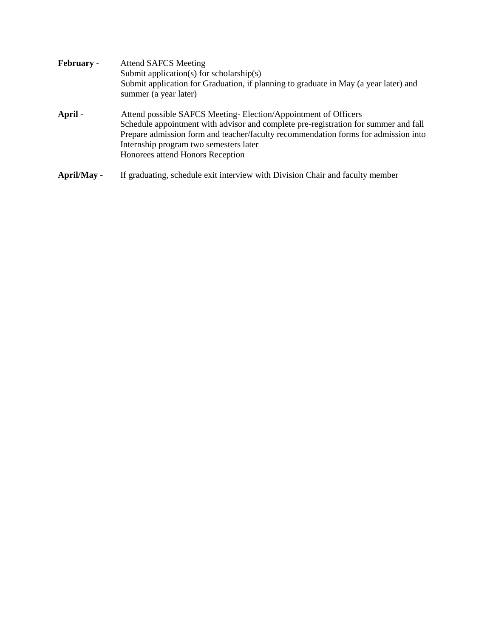| <b>February -</b> | <b>Attend SAFCS Meeting</b><br>Submit application(s) for scholarship(s)<br>Submit application for Graduation, if planning to graduate in May (a year later) and<br>summer (a year later)                                                                                                                                  |  |  |  |  |  |  |
|-------------------|---------------------------------------------------------------------------------------------------------------------------------------------------------------------------------------------------------------------------------------------------------------------------------------------------------------------------|--|--|--|--|--|--|
| April -           | Attend possible SAFCS Meeting-Election/Appointment of Officers<br>Schedule appointment with advisor and complete pre-registration for summer and fall<br>Prepare admission form and teacher/faculty recommendation forms for admission into<br>Internship program two semesters later<br>Honorees attend Honors Reception |  |  |  |  |  |  |
| April/May -       | If graduating, schedule exit interview with Division Chair and faculty member                                                                                                                                                                                                                                             |  |  |  |  |  |  |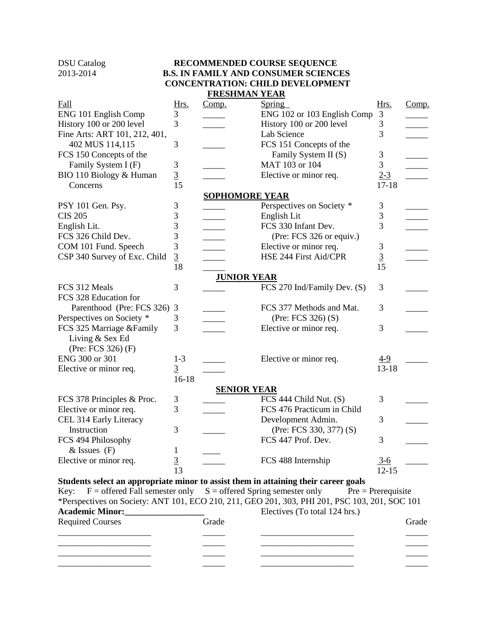#### DSU Catalog **RECOMMENDED COURSE SEQUENCE** 2013-2014 **B.S. IN FAMILY AND CONSUMER SCIENCES CONCENTRATION: CHILD DEVELOPMENT FRESHMAN YEAR**

| Fall                                                                                | Hrs.                | Comp.                 | Spring                                                                                        | Hrs.           | Comp. |
|-------------------------------------------------------------------------------------|---------------------|-----------------------|-----------------------------------------------------------------------------------------------|----------------|-------|
| ENG 101 English Comp                                                                | 3                   |                       | ENG 102 or 103 English Comp                                                                   | 3              |       |
| History 100 or 200 level                                                            | 3                   |                       | History 100 or 200 level                                                                      | 3              |       |
| Fine Arts: ART 101, 212, 401,                                                       |                     |                       | Lab Science                                                                                   | 3              |       |
| 402 MUS 114,115                                                                     | 3                   |                       | FCS 151 Concepts of the                                                                       |                |       |
| FCS 150 Concepts of the                                                             |                     |                       | Family System II (S)                                                                          | $\mathfrak{Z}$ |       |
| Family System I (F)                                                                 | 3                   |                       | MAT 103 or 104                                                                                | 3              |       |
| BIO 110 Biology & Human                                                             | $\overline{3}$      |                       | Elective or minor req.                                                                        | $2 - 3$        |       |
| Concerns                                                                            | 15                  |                       |                                                                                               | $17 - 18$      |       |
|                                                                                     |                     | <b>SOPHOMORE YEAR</b> |                                                                                               |                |       |
| PSY 101 Gen. Psy.                                                                   | 3                   |                       | Perspectives on Society *                                                                     | 3              |       |
| <b>CIS 205</b>                                                                      | 3                   |                       | English Lit                                                                                   | 3              |       |
| English Lit.                                                                        | 3                   |                       | FCS 330 Infant Dev.                                                                           | 3              |       |
| FCS 326 Child Dev.                                                                  | 3                   |                       | (Pre: FCS 326 or equiv.)                                                                      |                |       |
| COM 101 Fund. Speech                                                                | 3                   |                       | Elective or minor req.                                                                        | 3              |       |
| CSP 340 Survey of Exc. Child                                                        | $\overline{3}$      |                       | HSE 244 First Aid/CPR                                                                         | $\overline{3}$ |       |
|                                                                                     | 18                  |                       |                                                                                               | 15             |       |
|                                                                                     |                     | <b>JUNIOR YEAR</b>    |                                                                                               |                |       |
| FCS 312 Meals                                                                       | 3                   |                       | FCS 270 Ind/Family Dev. (S)                                                                   | 3              |       |
| FCS 328 Education for                                                               |                     |                       |                                                                                               |                |       |
| Parenthood (Pre: FCS 326)                                                           | 3                   |                       | FCS 377 Methods and Mat.                                                                      | 3              |       |
| Perspectives on Society *                                                           | 3                   |                       | (Pre: FCS 326) (S)                                                                            |                |       |
| FCS 325 Marriage &Family<br>Living & Sex Ed<br>(Pre: FCS 326) (F)                   | 3                   |                       | Elective or minor req.                                                                        | 3              |       |
| ENG 300 or 301                                                                      | $1 - 3$             |                       | Elective or minor req.                                                                        | $4-9$          |       |
| Elective or minor req.                                                              | $\overline{3}$      |                       |                                                                                               | $13 - 18$      |       |
|                                                                                     | $16-18$             |                       |                                                                                               |                |       |
|                                                                                     |                     | <b>SENIOR YEAR</b>    |                                                                                               |                |       |
| FCS 378 Principles & Proc.                                                          | 3                   |                       | FCS 444 Child Nut. (S)                                                                        | 3              |       |
| Elective or minor req.                                                              | 3                   |                       | FCS 476 Practicum in Child                                                                    |                |       |
| CEL 314 Early Literacy                                                              |                     |                       | Development Admin.                                                                            | 3              |       |
| Instruction                                                                         | 3                   |                       | (Pre: FCS 330, 377) (S)                                                                       |                |       |
| FCS 494 Philosophy                                                                  |                     |                       | FCS 447 Prof. Dev.                                                                            | 3              |       |
| $&$ Issues $(F)$                                                                    | 1                   |                       |                                                                                               |                |       |
| Elective or minor req.                                                              | ⌒<br>$\overline{z}$ |                       | FCS 488 Internship                                                                            | $3 - 6$        |       |
|                                                                                     | 13                  |                       |                                                                                               | $12 - 15$      |       |
| Students select an appropriate minor to assist them in attaining their career goals |                     |                       |                                                                                               |                |       |
| $F =$ offered Fall semester only $S =$ offered Spring semester only<br>Key:         |                     |                       | $Pre = Prerequires$                                                                           |                |       |
|                                                                                     |                     |                       | *Perspectives on Society: ANT 101, ECO 210, 211, GEO 201, 303, PHI 201, PSC 103, 201, SOC 101 |                |       |
|                                                                                     |                     |                       | Electives (To total 124 hrs.)                                                                 |                |       |
| <b>Required Courses</b>                                                             |                     | Grade                 |                                                                                               |                | Grade |
|                                                                                     |                     |                       |                                                                                               |                |       |
|                                                                                     |                     |                       |                                                                                               |                |       |
|                                                                                     |                     |                       |                                                                                               |                |       |
|                                                                                     |                     |                       |                                                                                               |                |       |
|                                                                                     |                     |                       |                                                                                               |                |       |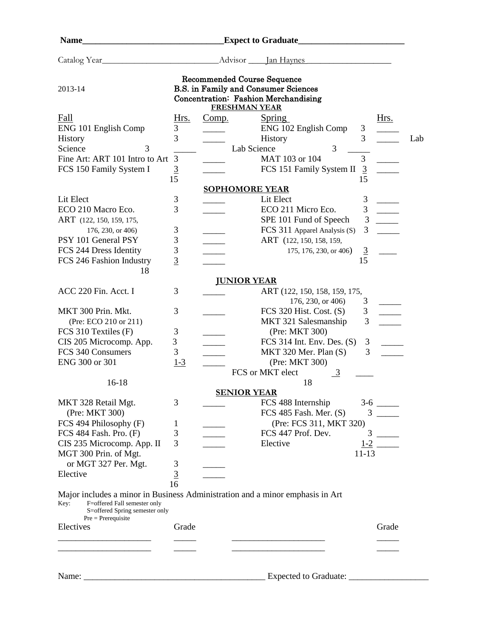| <b>Name</b>                                                                                                                                                                       |                |                    |                                                                                                                           |                |                          |     |
|-----------------------------------------------------------------------------------------------------------------------------------------------------------------------------------|----------------|--------------------|---------------------------------------------------------------------------------------------------------------------------|----------------|--------------------------|-----|
| Catalog Year                                                                                                                                                                      |                |                    | Advisor <u>Jan Haynes</u>                                                                                                 |                |                          |     |
| 2013-14                                                                                                                                                                           |                |                    | <b>Recommended Course Sequence</b><br><b>B.S.</b> in Family and Consumer Sciences<br>Concentration: Fashion Merchandising |                |                          |     |
|                                                                                                                                                                                   |                |                    | <b>FRESHMAN YEAR</b>                                                                                                      |                |                          |     |
| Fall                                                                                                                                                                              | Hrs.           | Comp.              | <b>Spring</b>                                                                                                             |                | Hrs.                     |     |
| ENG 101 English Comp                                                                                                                                                              | 3              |                    | ENG 102 English Comp                                                                                                      | 3              |                          |     |
| History                                                                                                                                                                           | 3              |                    | History                                                                                                                   | 3              |                          | Lab |
| 3<br>Science                                                                                                                                                                      |                |                    | 3<br>Lab Science                                                                                                          |                |                          |     |
| Fine Art: ART 101 Intro to Art                                                                                                                                                    | 3              |                    | MAT 103 or 104                                                                                                            | 3              |                          |     |
| FCS 150 Family System I                                                                                                                                                           | $\overline{3}$ |                    | FCS 151 Family System II                                                                                                  | 3              |                          |     |
|                                                                                                                                                                                   | 15             |                    |                                                                                                                           | 15             |                          |     |
|                                                                                                                                                                                   |                |                    | <b>SOPHOMORE YEAR</b>                                                                                                     |                |                          |     |
| Lit Elect                                                                                                                                                                         | 3              |                    | Lit Elect                                                                                                                 | 3              | $\overline{\phantom{a}}$ |     |
| ECO 210 Macro Eco.                                                                                                                                                                | 3              |                    | ECO 211 Micro Eco.                                                                                                        | 3              | $\overline{\phantom{a}}$ |     |
| ART (122, 150, 159, 175,                                                                                                                                                          |                |                    | SPE 101 Fund of Speech                                                                                                    | 3              |                          |     |
| 176, 230, or 406)                                                                                                                                                                 | $\mathfrak{Z}$ |                    | FCS 311 Apparel Analysis (S)                                                                                              | 3              |                          |     |
| PSY 101 General PSY                                                                                                                                                               | 3              |                    | ART (122, 150, 158, 159,                                                                                                  |                |                          |     |
| FCS 244 Dress Identity                                                                                                                                                            | 3              |                    | 175, 176, 230, or 406)                                                                                                    | $\overline{3}$ |                          |     |
| FCS 246 Fashion Industry                                                                                                                                                          | $\overline{3}$ |                    |                                                                                                                           | 15             |                          |     |
| 18                                                                                                                                                                                |                |                    |                                                                                                                           |                |                          |     |
|                                                                                                                                                                                   |                | <b>JUNIOR YEAR</b> |                                                                                                                           |                |                          |     |
| ACC 220 Fin. Acct. I                                                                                                                                                              | 3              |                    | ART (122, 150, 158, 159, 175,                                                                                             |                |                          |     |
|                                                                                                                                                                                   |                |                    | 176, 230, or 406)                                                                                                         | 3              |                          |     |
| MKT 300 Prin. Mkt.                                                                                                                                                                | 3              |                    | FCS 320 Hist. Cost. $(S)$                                                                                                 | 3<br>3         |                          |     |
| (Pre: ECO 210 or 211)                                                                                                                                                             |                |                    | MKT 321 Salesmanship                                                                                                      |                |                          |     |
| FCS 310 Textiles (F)                                                                                                                                                              | 3              |                    | (Pre: MKT 300)                                                                                                            |                |                          |     |
| CIS 205 Microcomp. App.<br>FCS 340 Consumers                                                                                                                                      | 3<br>3         |                    | FCS 314 Int. Env. Des. $(S)$<br>MKT 320 Mer. Plan (S)                                                                     | 3<br>3         |                          |     |
| ENG 300 or 301                                                                                                                                                                    | $1 - 3$        |                    | (Pre: MKT 300)                                                                                                            |                |                          |     |
|                                                                                                                                                                                   |                |                    | FCS or MKT elect                                                                                                          |                |                          |     |
| $16-18$                                                                                                                                                                           |                |                    | $\frac{3}{2}$<br>18                                                                                                       |                |                          |     |
|                                                                                                                                                                                   |                |                    | <b>SENIOR YEAR</b>                                                                                                        |                |                          |     |
| MKT 328 Retail Mgt.                                                                                                                                                               | 3              |                    | FCS 488 Internship                                                                                                        |                |                          |     |
| (Pre: MKT 300)                                                                                                                                                                    |                |                    | FCS 485 Fash. Mer. $(S)$                                                                                                  |                | $3 \quad -$              |     |
| FCS 494 Philosophy (F)                                                                                                                                                            | 1              |                    | (Pre: FCS 311, MKT 320)                                                                                                   |                |                          |     |
| FCS 484 Fash. Pro. $(F)$                                                                                                                                                          | 3              |                    | FCS 447 Prof. Dev.                                                                                                        |                |                          |     |
| CIS 235 Microcomp. App. II                                                                                                                                                        | 3              |                    | Elective                                                                                                                  |                |                          |     |
| MGT 300 Prin. of Mgt.                                                                                                                                                             |                |                    |                                                                                                                           | $11-13$        |                          |     |
| or MGT 327 Per. Mgt.                                                                                                                                                              |                |                    |                                                                                                                           |                |                          |     |
| Elective                                                                                                                                                                          | $rac{3}{2}$    |                    |                                                                                                                           |                |                          |     |
|                                                                                                                                                                                   | 16             |                    |                                                                                                                           |                |                          |     |
| Major includes a minor in Business Administration and a minor emphasis in Art<br>F=offered Fall semester only<br>Key:<br>S=offered Spring semester only<br>$Pre = Prerequiresite$ |                |                    |                                                                                                                           |                |                          |     |
| Electives                                                                                                                                                                         | Grade          |                    |                                                                                                                           |                | Grade                    |     |
|                                                                                                                                                                                   |                |                    |                                                                                                                           |                |                          |     |
|                                                                                                                                                                                   |                |                    |                                                                                                                           |                |                          |     |
|                                                                                                                                                                                   |                |                    |                                                                                                                           |                |                          |     |
|                                                                                                                                                                                   |                |                    |                                                                                                                           |                |                          |     |
| Name:                                                                                                                                                                             |                |                    | Expected to Graduate:                                                                                                     |                |                          |     |